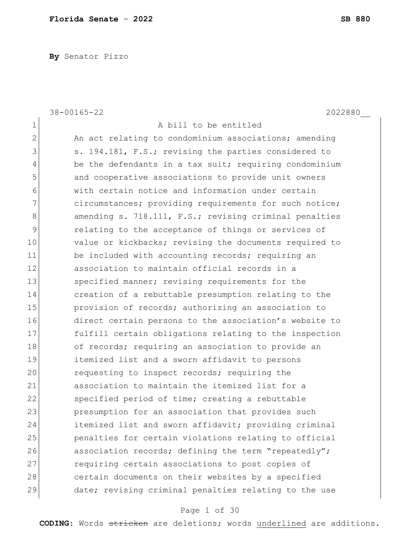**By** Senator Pizzo

38-00165-22 2022880\_\_ 1 a bill to be entitled 2 An act relating to condominium associations; amending 3 s. 194.181, F.S.; revising the parties considered to 4 be the defendants in a tax suit; requiring condominium 5 and cooperative associations to provide unit owners 6 with certain notice and information under certain 7 circumstances; providing requirements for such notice; 8 amending s. 718.111, F.S.; revising criminal penalties 9 relating to the acceptance of things or services of 10 value or kickbacks; revising the documents required to 11 be included with accounting records; requiring an 12 association to maintain official records in a 13 Specified manner; revising requirements for the 14 creation of a rebuttable presumption relating to the 15 provision of records; authorizing an association to 16 direct certain persons to the association's website to 17 fulfill certain obligations relating to the inspection 18 of records; requiring an association to provide an 19 itemized list and a sworn affidavit to persons 20 requesting to inspect records; requiring the 21 association to maintain the itemized list for a 22 Specified period of time; creating a rebuttable 23 presumption for an association that provides such 24 itemized list and sworn affidavit; providing criminal 25 penalties for certain violations relating to official 26 association records; defining the term "repeatedly"; 27 **requiring certain associations to post copies of** 28 certain documents on their websites by a specified 29 date; revising criminal penalties relating to the use

## Page 1 of 30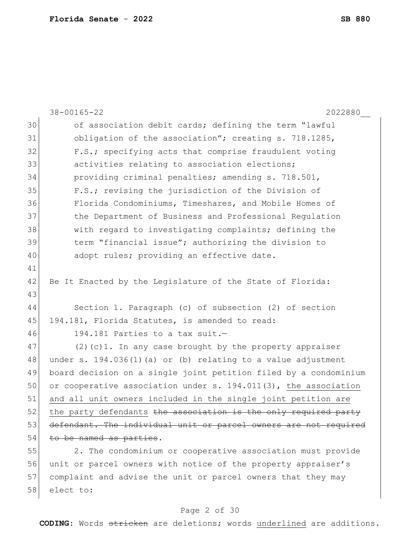|    | 2022880<br>$38 - 00165 - 22$                                     |
|----|------------------------------------------------------------------|
| 30 | of association debit cards; defining the term "lawful            |
| 31 | obligation of the association"; creating s. 718.1285,            |
| 32 | F.S.; specifying acts that comprise fraudulent voting            |
| 33 | activities relating to association elections;                    |
| 34 | providing criminal penalties; amending s. 718.501,               |
| 35 | F.S.; revising the jurisdiction of the Division of               |
| 36 | Florida Condominiums, Timeshares, and Mobile Homes of            |
| 37 | the Department of Business and Professional Regulation           |
| 38 | with regard to investigating complaints; defining the            |
| 39 | term "financial issue"; authorizing the division to              |
| 40 | adopt rules; providing an effective date.                        |
| 41 |                                                                  |
| 42 | Be It Enacted by the Legislature of the State of Florida:        |
| 43 |                                                                  |
| 44 | Section 1. Paragraph (c) of subsection (2) of section            |
| 45 | 194.181, Florida Statutes, is amended to read:                   |
| 46 | 194.181 Parties to a tax suit.-                                  |
| 47 | $(2)$ (c)1. In any case brought by the property appraiser        |
| 48 | under s. $194.036(1)$ (a) or (b) relating to a value adjustment  |
| 49 | board decision on a single joint petition filed by a condominium |
| 50 | or cooperative association under s. 194.011(3), the association  |
| 51 | and all unit owners included in the single joint petition are    |
| 52 | the party defendants the association is the only required party  |
| 53 | defendant. The individual unit or parcel owners are not required |
| 54 | to be named as parties.                                          |
| 55 | 2. The condominium or cooperative association must provide       |
| 56 | unit or parcel owners with notice of the property appraiser's    |
| 57 | complaint and advise the unit or parcel owners that they may     |
| 58 | elect to:                                                        |

# Page 2 of 30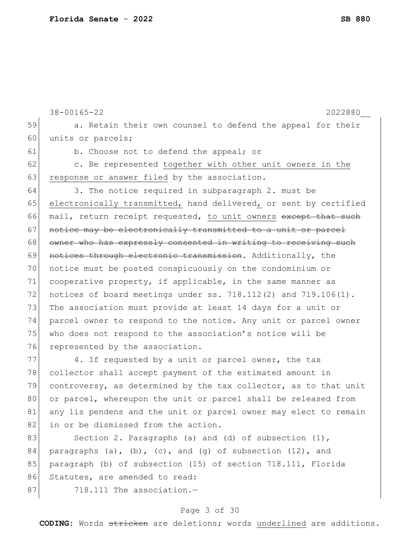```
38-00165-22 2022880__
59 a. Retain their own counsel to defend the appeal for their
60 units or parcels;
61 b. Choose not to defend the appeal; or
62 c. Be represented together with other unit owners in the
63 response or answer filed by the association.
64 3. The notice required in subparagraph 2. must be 
65 electronically transmitted, hand delivered, or sent by certified
66 mail, return receipt requested, to unit owners except that such
67 notice may be electronically transmitted to a unit or parcel
68 owner who has expressly consented in writing to receiving such
69 notices through electronic transmission. Additionally, the
70 notice must be posted conspicuously on the condominium or 
71 cooperative property, if applicable, in the same manner as
72 notices of board meetings under ss. 718.112(2) and 719.106(1). 
73 The association must provide at least 14 days for a unit or
74 parcel owner to respond to the notice. Any unit or parcel owner 
75 who does not respond to the association's notice will be
76 represented by the association.
77 4. If requested by a unit or parcel owner, the tax
78 collector shall accept payment of the estimated amount in 
79 controversy, as determined by the tax collector, as to that unit 
80 or parcel, whereupon the unit or parcel shall be released from
81 any lis pendens and the unit or parcel owner may elect to remain
82 in or be dismissed from the action.
83 Section 2. Paragraphs (a) and (d) of subsection (1),
84 paragraphs (a), (b), (c), and (g) of subsection (12), and
85 paragraph (b) of subsection (15) of section 718.111, Florida
86 Statutes, are amended to read:
```
 $87$   $718.111$  The association.

#### Page 3 of 30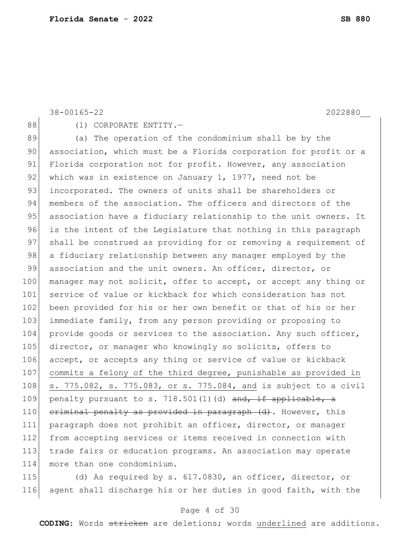88 (1) CORPORATE ENTITY. 89 (a) The operation of the condominium shall be by the 90 association, which must be a Florida corporation for profit or a 91 Florida corporation not for profit. However, any association 92 which was in existence on January 1, 1977, need not be 93 incorporated. The owners of units shall be shareholders or 94 members of the association. The officers and directors of the 95 association have a fiduciary relationship to the unit owners. It 96 is the intent of the Legislature that nothing in this paragraph 97 shall be construed as providing for or removing a requirement of 98 a fiduciary relationship between any manager employed by the 99 association and the unit owners. An officer, director, or 100 manager may not solicit, offer to accept, or accept any thing or 101 service of value or kickback for which consideration has not 102 been provided for his or her own benefit or that of his or her 103 immediate family, from any person providing or proposing to 104 provide goods or services to the association. Any such officer, 105 director, or manager who knowingly so solicits, offers to 106 accept, or accepts any thing or service of value or kickback 107 commits a felony of the third degree, punishable as provided in 108 s. 775.082, s. 775.083, or s. 775.084, and is subject to a civil 109 penalty pursuant to s. 718.501(1)(d) and, if applicable, a 110 criminal penalty as provided in paragraph (d). However, this 111 paragraph does not prohibit an officer, director, or manager 112 from accepting services or items received in connection with 113 trade fairs or education programs. An association may operate 114 more than one condominium.

115 (d) As required by s. 617.0830, an officer, director, or 116 agent shall discharge his or her duties in good faith, with the

## Page 4 of 30

**CODING**: Words stricken are deletions; words underlined are additions.

38-00165-22 2022880\_\_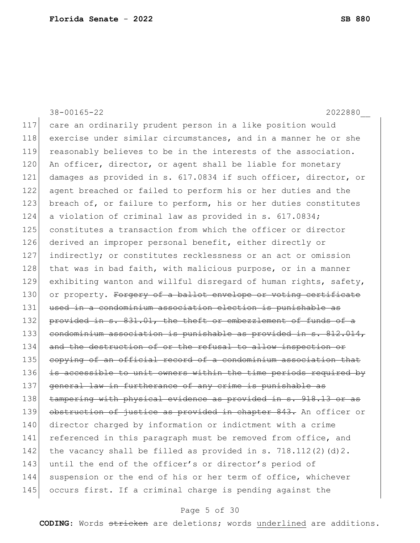38-00165-22 2022880\_\_ 117 care an ordinarily prudent person in a like position would 118 exercise under similar circumstances, and in a manner he or she 119 reasonably believes to be in the interests of the association. 120 An officer, director, or agent shall be liable for monetary 121 damages as provided in s. 617.0834 if such officer, director, or 122 agent breached or failed to perform his or her duties and the 123 breach of, or failure to perform, his or her duties constitutes 124 a violation of criminal law as provided in s. 617.0834; 125 constitutes a transaction from which the officer or director 126 derived an improper personal benefit, either directly or 127 indirectly; or constitutes recklessness or an act or omission  $128$  that was in bad faith, with malicious purpose, or in a manner 129 exhibiting wanton and willful disregard of human rights, safety, 130 or property. Forgery of a ballot envelope or voting certificate 131 used in a condominium association election is punishable as 132 provided in s. 831.01, the theft or embezzlement of funds of a 133 condominium association is punishable as provided in s. 812.014, 134 and the destruction of or the refusal to allow inspection or 135 copying of an official record of a condominium association that 136 is accessible to unit owners within the time periods required by 137 general law in furtherance of any crime is punishable as 138 tampering with physical evidence as provided in s. 918.13 or as 139 obstruction of justice as provided in chapter 843. An officer or 140 director charged by information or indictment with a crime 141 referenced in this paragraph must be removed from office, and 142 the vacancy shall be filled as provided in s.  $718.112(2)(d)2$ . 143 until the end of the officer's or director's period of 144 suspension or the end of his or her term of office, whichever 145 occurs first. If a criminal charge is pending against the

# Page 5 of 30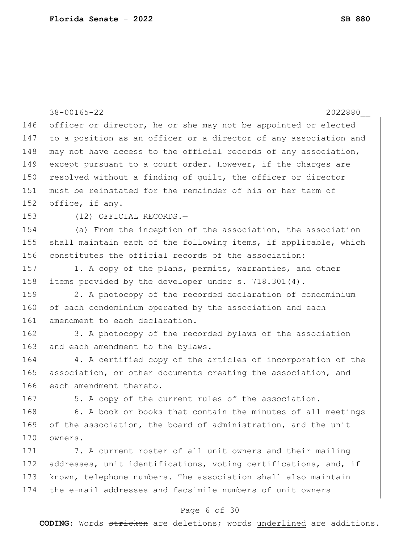|     | $38 - 00165 - 22$<br>2022880                                     |
|-----|------------------------------------------------------------------|
| 146 | officer or director, he or she may not be appointed or elected   |
| 147 | to a position as an officer or a director of any association and |
| 148 | may not have access to the official records of any association,  |
| 149 | except pursuant to a court order. However, if the charges are    |
| 150 | resolved without a finding of quilt, the officer or director     |
| 151 | must be reinstated for the remainder of his or her term of       |
| 152 | office, if any.                                                  |
| 153 | (12) OFFICIAL RECORDS.-                                          |
| 154 | (a) From the inception of the association, the association       |
| 155 | shall maintain each of the following items, if applicable, which |
| 156 | constitutes the official records of the association:             |
| 157 | 1. A copy of the plans, permits, warranties, and other           |
| 158 | items provided by the developer under s. 718.301(4).             |
| 159 | 2. A photocopy of the recorded declaration of condominium        |
| 160 | of each condominium operated by the association and each         |
| 161 | amendment to each declaration.                                   |
| 162 | 3. A photocopy of the recorded bylaws of the association         |
| 163 | and each amendment to the bylaws.                                |
| 164 | 4. A certified copy of the articles of incorporation of the      |
| 165 | association, or other documents creating the association, and    |
| 166 | each amendment thereto.                                          |
| 167 | 5. A copy of the current rules of the association.               |
| 168 | 6. A book or books that contain the minutes of all meetings      |
| 169 | of the association, the board of administration, and the unit    |
| 170 | owners.                                                          |
| 171 | 7. A current roster of all unit owners and their mailing         |
| 172 | addresses, unit identifications, voting certifications, and, if  |
| 173 | known, telephone numbers. The association shall also maintain    |
| 174 | the e-mail addresses and facsimile numbers of unit owners        |
|     | Page 6 of 30                                                     |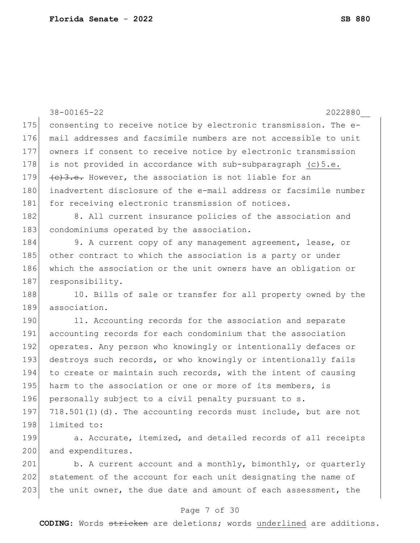|     | $38 - 00165 - 22$<br>2022880                                     |
|-----|------------------------------------------------------------------|
| 175 | consenting to receive notice by electronic transmission. The e-  |
| 176 | mail addresses and facsimile numbers are not accessible to unit  |
| 177 | owners if consent to receive notice by electronic transmission   |
| 178 | is not provided in accordance with sub-subparagraph $(c) 5.e.$   |
| 179 | (c) 3.e. However, the association is not liable for an           |
| 180 | inadvertent disclosure of the e-mail address or facsimile number |
| 181 | for receiving electronic transmission of notices.                |
| 182 | 8. All current insurance policies of the association and         |
| 183 | condominiums operated by the association.                        |
| 184 | 9. A current copy of any management agreement, lease, or         |
| 185 | other contract to which the association is a party or under      |
| 186 | which the association or the unit owners have an obligation or   |
| 187 | responsibility.                                                  |
| 188 | 10. Bills of sale or transfer for all property owned by the      |
| 189 | association.                                                     |
| 190 | 11. Accounting records for the association and separate          |
| 191 | accounting records for each condominium that the association     |
| 192 | operates. Any person who knowingly or intentionally defaces or   |
| 193 | destroys such records, or who knowingly or intentionally fails   |
| 194 | to create or maintain such records, with the intent of causing   |
| 195 | harm to the association or one or more of its members, is        |
| 196 | personally subject to a civil penalty pursuant to s.             |
| 197 | 718.501(1)(d). The accounting records must include, but are not  |
| 198 | limited to:                                                      |
| 199 | a. Accurate, itemized, and detailed records of all receipts      |
| 200 | and expenditures.                                                |
| 201 | b. A current account and a monthly, bimonthly, or quarterly      |
| 202 | statement of the account for each unit designating the name of   |
| 203 | the unit owner, the due date and amount of each assessment, the  |

# Page 7 of 30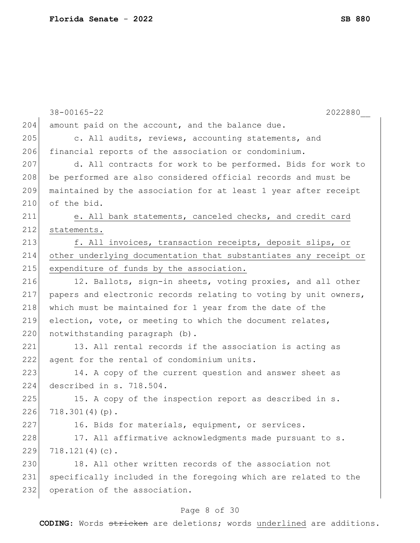|     | $38 - 00165 - 22$<br>2022880                                     |
|-----|------------------------------------------------------------------|
| 204 | amount paid on the account, and the balance due.                 |
| 205 | c. All audits, reviews, accounting statements, and               |
| 206 | financial reports of the association or condominium.             |
| 207 | d. All contracts for work to be performed. Bids for work to      |
| 208 | be performed are also considered official records and must be    |
| 209 | maintained by the association for at least 1 year after receipt  |
| 210 | of the bid.                                                      |
| 211 | e. All bank statements, canceled checks, and credit card         |
| 212 | statements.                                                      |
| 213 | f. All invoices, transaction receipts, deposit slips, or         |
| 214 | other underlying documentation that substantiates any receipt or |
| 215 | expenditure of funds by the association.                         |
| 216 | 12. Ballots, sign-in sheets, voting proxies, and all other       |
| 217 | papers and electronic records relating to voting by unit owners, |
| 218 | which must be maintained for 1 year from the date of the         |
| 219 | election, vote, or meeting to which the document relates,        |
| 220 | notwithstanding paragraph (b).                                   |
| 221 | 13. All rental records if the association is acting as           |
| 222 | agent for the rental of condominium units.                       |
| 223 | 14. A copy of the current question and answer sheet as           |
| 224 | described in s. 718.504.                                         |
| 225 | 15. A copy of the inspection report as described in s.           |
| 226 | $718.301(4)(p)$ .                                                |
| 227 | 16. Bids for materials, equipment, or services.                  |
| 228 | 17. All affirmative acknowledgments made pursuant to s.          |
| 229 | $718.121(4)(c)$ .                                                |
| 230 | 18. All other written records of the association not             |
| 231 | specifically included in the foregoing which are related to the  |
| 232 | operation of the association.                                    |
|     |                                                                  |

# Page 8 of 30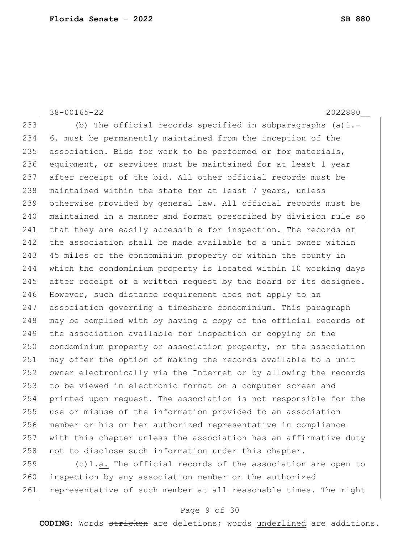38-00165-22 2022880\_\_ (b) The official records specified in subparagraphs (a)1.- 6. must be permanently maintained from the inception of the 235 association. Bids for work to be performed or for materials, equipment, or services must be maintained for at least 1 year after receipt of the bid. All other official records must be 238 maintained within the state for at least 7 years, unless otherwise provided by general law. All official records must be maintained in a manner and format prescribed by division rule so 241 that they are easily accessible for inspection. The records of 242 the association shall be made available to a unit owner within 243 45 miles of the condominium property or within the county in which the condominium property is located within 10 working days 245 after receipt of a written request by the board or its designee. 246 However, such distance requirement does not apply to an association governing a timeshare condominium. This paragraph 248 may be complied with by having a copy of the official records of the association available for inspection or copying on the 250 condominium property or association property, or the association may offer the option of making the records available to a unit owner electronically via the Internet or by allowing the records to be viewed in electronic format on a computer screen and printed upon request. The association is not responsible for the use or misuse of the information provided to an association member or his or her authorized representative in compliance with this chapter unless the association has an affirmative duty 258 not to disclose such information under this chapter.  $(c)$ 1.a. The official records of the association are open to

260 inspection by any association member or the authorized 261 representative of such member at all reasonable times. The right

# Page 9 of 30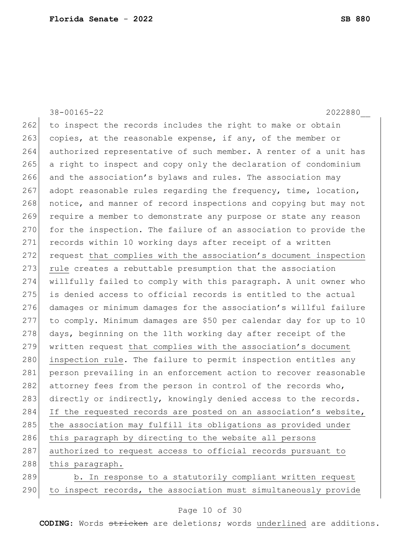38-00165-22 2022880\_\_ 262 to inspect the records includes the right to make or obtain 263 copies, at the reasonable expense, if any, of the member or 264 authorized representative of such member. A renter of a unit has 265 a right to inspect and copy only the declaration of condominium 266 and the association's bylaws and rules. The association may 267 adopt reasonable rules regarding the frequency, time, location, 268 notice, and manner of record inspections and copying but may not 269 require a member to demonstrate any purpose or state any reason 270 for the inspection. The failure of an association to provide the 271 records within 10 working days after receipt of a written 272 request that complies with the association's document inspection 273 rule creates a rebuttable presumption that the association 274 willfully failed to comply with this paragraph. A unit owner who 275 is denied access to official records is entitled to the actual 276 damages or minimum damages for the association's willful failure 277 to comply. Minimum damages are \$50 per calendar day for up to 10 278 days, beginning on the 11th working day after receipt of the 279 written request that complies with the association's document 280 inspection rule. The failure to permit inspection entitles any 281 person prevailing in an enforcement action to recover reasonable 282 attorney fees from the person in control of the records who, 283 directly or indirectly, knowingly denied access to the records. 284 If the requested records are posted on an association's website, 285 the association may fulfill its obligations as provided under 286 this paragraph by directing to the website all persons 287 authorized to request access to official records pursuant to 288 this paragraph. 289 b. In response to a statutorily compliant written request 290 to inspect records, the association must simultaneously provide

#### Page 10 of 30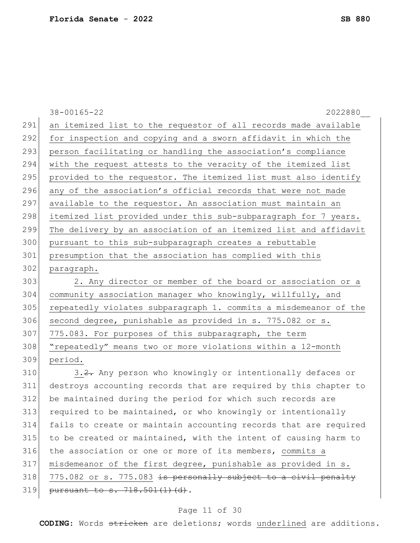|     | $38 - 00165 - 22$<br>2022880                                     |
|-----|------------------------------------------------------------------|
| 291 | an itemized list to the requestor of all records made available  |
| 292 | for inspection and copying and a sworn affidavit in which the    |
| 293 | person facilitating or handling the association's compliance     |
| 294 | with the request attests to the veracity of the itemized list    |
| 295 | provided to the requestor. The itemized list must also identify  |
| 296 | any of the association's official records that were not made     |
| 297 | available to the requestor. An association must maintain an      |
| 298 | itemized list provided under this sub-subparagraph for 7 years.  |
| 299 | The delivery by an association of an itemized list and affidavit |
| 300 | pursuant to this sub-subparagraph creates a rebuttable           |
| 301 | presumption that the association has complied with this          |
| 302 | paragraph.                                                       |
| 303 | 2. Any director or member of the board or association or a       |
| 304 | community association manager who knowingly, willfully, and      |
| 305 | repeatedly violates subparagraph 1. commits a misdemeanor of the |
| 306 | second degree, punishable as provided in s. 775.082 or s.        |
| 307 | 775.083. For purposes of this subparagraph, the term             |
| 308 | "repeatedly" means two or more violations within a 12-month      |
| 309 | period.                                                          |
| 310 | 3.2. Any person who knowingly or intentionally defaces or        |
| 311 | destroys accounting records that are required by this chapter to |
| 312 | be maintained during the period for which such records are       |
| 313 | required to be maintained, or who knowingly or intentionally     |
| 314 | fails to create or maintain accounting records that are required |
| 315 | to be created or maintained, with the intent of causing harm to  |
| 316 | the association or one or more of its members, commits a         |
| 317 | misdemeanor of the first degree, punishable as provided in s.    |
| 318 | 775.082 or s. 775.083 is personally subject to a civil penalty   |
| 319 | pursuant to s. 718.501(1)(d).                                    |

# Page 11 of 30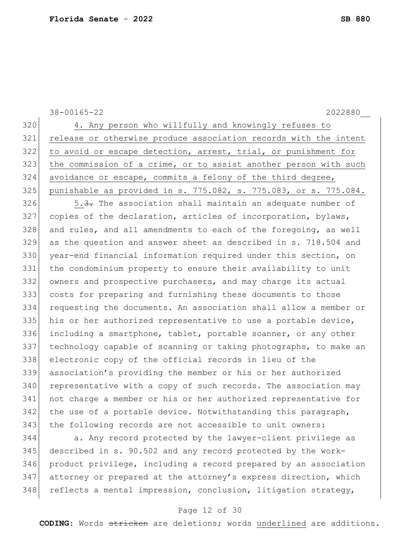|     | $38 - 00165 - 22$<br>2022880                                     |
|-----|------------------------------------------------------------------|
| 320 | 4. Any person who willfully and knowingly refuses to             |
| 321 | release or otherwise produce association records with the intent |
| 322 | to avoid or escape detection, arrest, trial, or punishment for   |
| 323 | the commission of a crime, or to assist another person with such |
| 324 | avoidance or escape, commits a felony of the third degree,       |
| 325 | punishable as provided in s. 775.082, s. 775.083, or s. 775.084. |
| 326 | 5.3. The association shall maintain an adequate number of        |
| 327 | copies of the declaration, articles of incorporation, bylaws,    |
| 328 | and rules, and all amendments to each of the foregoing, as well  |
| 329 | as the question and answer sheet as described in s. 718.504 and  |
| 330 | year-end financial information required under this section, on   |
| 331 | the condominium property to ensure their availability to unit    |
| 332 | owners and prospective purchasers, and may charge its actual     |
| 333 | costs for preparing and furnishing these documents to those      |
| 334 | requesting the documents. An association shall allow a member or |
| 335 | his or her authorized representative to use a portable device,   |
| 336 | including a smartphone, tablet, portable scanner, or any other   |
| 337 | technology capable of scanning or taking photographs, to make an |
| 338 | electronic copy of the official records in lieu of the           |
| 339 | association's providing the member or his or her authorized      |
| 340 | representative with a copy of such records. The association may  |
| 341 | not charge a member or his or her authorized representative for  |
| 342 | the use of a portable device. Notwithstanding this paragraph,    |
| 343 | the following records are not accessible to unit owners:         |
| 311 | a Any record protected by the lawyer-client privilege as         |

344 a. Any record protected by the lawyer-client privilege as described in s. 90.502 and any record protected by the work- product privilege, including a record prepared by an association 347 attorney or prepared at the attorney's express direction, which reflects a mental impression, conclusion, litigation strategy,

# Page 12 of 30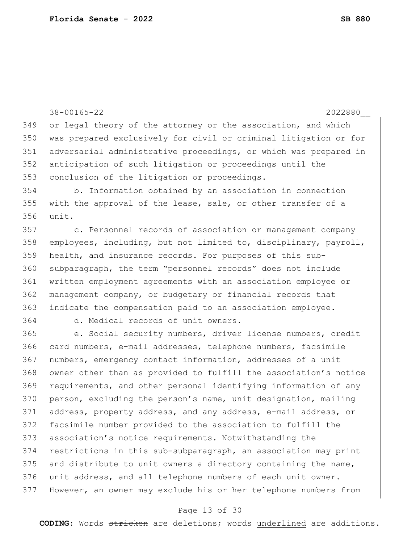```
38-00165-22 2022880__
349 or legal theory of the attorney or the association, and which 
350 was prepared exclusively for civil or criminal litigation or for 
351 adversarial administrative proceedings, or which was prepared in 
352 anticipation of such litigation or proceedings until the 
353 conclusion of the litigation or proceedings.
354 b. Information obtained by an association in connection 
355 with the approval of the lease, sale, or other transfer of a
356 unit.
357 c. Personnel records of association or management company 
358 employees, including, but not limited to, disciplinary, payroll, 
359 health, and insurance records. For purposes of this sub-
360 subparagraph, the term "personnel records" does not include 
361 written employment agreements with an association employee or 
362 management company, or budgetary or financial records that 
363 indicate the compensation paid to an association employee.
364 d. Medical records of unit owners.
365 e. Social security numbers, driver license numbers, credit 
366 card numbers, e-mail addresses, telephone numbers, facsimile 
367 numbers, emergency contact information, addresses of a unit 
368 owner other than as provided to fulfill the association's notice 
369 requirements, and other personal identifying information of any 
370 person, excluding the person's name, unit designation, mailing
371 address, property address, and any address, e-mail address, or 
372 facsimile number provided to the association to fulfill the 
373 association's notice requirements. Notwithstanding the 
374 restrictions in this sub-subparagraph, an association may print 
375 and distribute to unit owners a directory containing the name,
376 unit address, and all telephone numbers of each unit owner. 
377 However, an owner may exclude his or her telephone numbers from
```
#### Page 13 of 30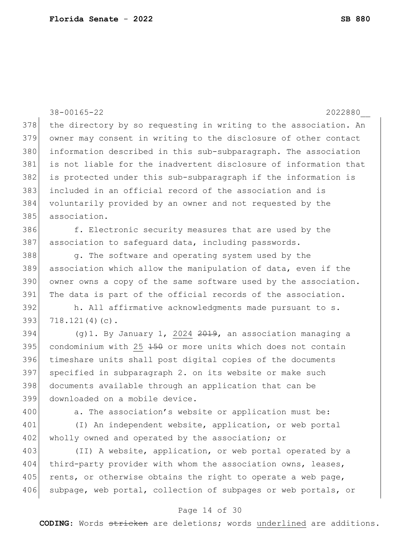38-00165-22 2022880\_\_ 378 the directory by so requesting in writing to the association. An 379 owner may consent in writing to the disclosure of other contact 380 information described in this sub-subparagraph. The association 381 is not liable for the inadvertent disclosure of information that 382 is protected under this sub-subparagraph if the information is 383 included in an official record of the association and is 384 voluntarily provided by an owner and not requested by the 385 association. 386 f. Electronic security measures that are used by the 387 association to safeguard data, including passwords. 388 g. The software and operating system used by the 389 association which allow the manipulation of data, even if the 390 owner owns a copy of the same software used by the association. 391 The data is part of the official records of the association. 392 h. All affirmative acknowledgments made pursuant to s. 393 718.121(4)(c). 394  $(q)$ 1. By January 1, 2024 <del>2019</del>, an association managing a  $395$  condominium with 25  $150$  or more units which does not contain 396 timeshare units shall post digital copies of the documents 397 specified in subparagraph 2. on its website or make such 398 documents available through an application that can be 399 downloaded on a mobile device. 400 a. The association's website or application must be: 401 (I) An independent website, application, or web portal 402 wholly owned and operated by the association; or 403 (II) A website, application, or web portal operated by a 404 third-party provider with whom the association owns, leases, 405 rents, or otherwise obtains the right to operate a web page, 406 subpage, web portal, collection of subpages or web portals, or

#### Page 14 of 30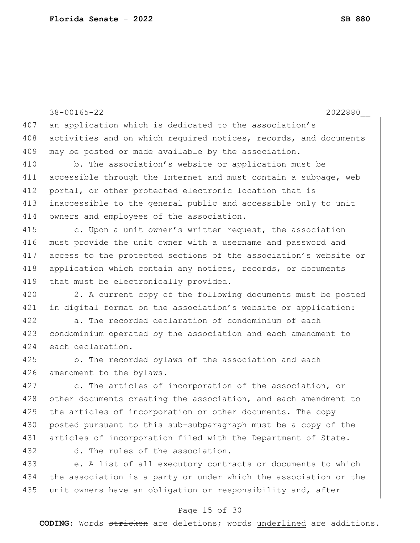|     | $38 - 00165 - 22$<br>2022880                                     |
|-----|------------------------------------------------------------------|
| 407 | an application which is dedicated to the association's           |
| 408 | activities and on which required notices, records, and documents |
| 409 | may be posted or made available by the association.              |
| 410 | b. The association's website or application must be              |
| 411 | accessible through the Internet and must contain a subpage, web  |
| 412 | portal, or other protected electronic location that is           |
| 413 | inaccessible to the general public and accessible only to unit   |
| 414 | owners and employees of the association.                         |
| 415 | c. Upon a unit owner's written request, the association          |
| 416 | must provide the unit owner with a username and password and     |
| 417 | access to the protected sections of the association's website or |
| 418 | application which contain any notices, records, or documents     |
| 419 | that must be electronically provided.                            |
| 420 | 2. A current copy of the following documents must be posted      |
| 421 | in digital format on the association's website or application:   |
| 422 | a. The recorded declaration of condominium of each               |
| 423 | condominium operated by the association and each amendment to    |
| 424 | each declaration.                                                |
| 425 | b. The recorded bylaws of the association and each               |
| 426 | amendment to the bylaws.                                         |
| 427 | c. The articles of incorporation of the association, or          |
| 428 | other documents creating the association, and each amendment to  |
| 429 | the articles of incorporation or other documents. The copy       |
| 430 | posted pursuant to this sub-subparagraph must be a copy of the   |
| 431 | articles of incorporation filed with the Department of State.    |
| 432 | d. The rules of the association.                                 |
| 433 | e. A list of all executory contracts or documents to which       |
| 434 | the association is a party or under which the association or the |
| 435 | unit owners have an obligation or responsibility and, after      |
|     | Page 15 of 30                                                    |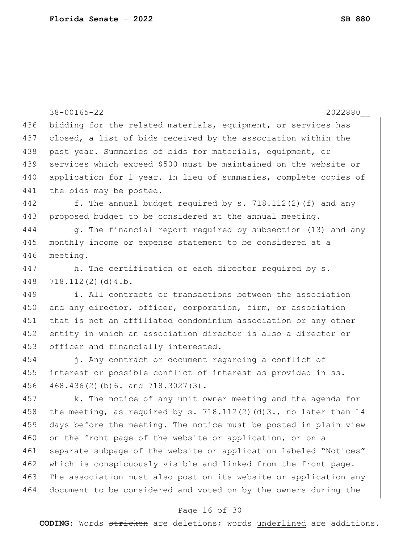|     | $38 - 00165 - 22$<br>2022880                                         |
|-----|----------------------------------------------------------------------|
| 436 | bidding for the related materials, equipment, or services has        |
| 437 | closed, a list of bids received by the association within the        |
| 438 | past year. Summaries of bids for materials, equipment, or            |
| 439 | services which exceed \$500 must be maintained on the website or     |
| 440 | application for 1 year. In lieu of summaries, complete copies of     |
| 441 | the bids may be posted.                                              |
| 442 | f. The annual budget required by s. $718.112(2)$ (f) and any         |
| 443 | proposed budget to be considered at the annual meeting.              |
| 444 | g. The financial report required by subsection (13) and any          |
| 445 | monthly income or expense statement to be considered at a            |
| 446 | meeting.                                                             |
| 447 | h. The certification of each director required by s.                 |
| 448 | 718.112(2)(d)4.b.                                                    |
| 449 | i. All contracts or transactions between the association             |
| 450 | and any director, officer, corporation, firm, or association         |
| 451 | that is not an affiliated condominium association or any other       |
| 452 | entity in which an association director is also a director or        |
| 453 | officer and financially interested.                                  |
| 454 | j. Any contract or document regarding a conflict of                  |
| 455 | interest or possible conflict of interest as provided in ss.         |
| 456 | 468.436(2)(b)6. and 718.3027(3).                                     |
| 457 | k. The notice of any unit owner meeting and the agenda for           |
| 458 | the meeting, as required by s. $718.112(2)$ (d) 3., no later than 14 |
| 459 | days before the meeting. The notice must be posted in plain view     |
| 460 | on the front page of the website or application, or on a             |
| 461 | separate subpage of the website or application labeled "Notices"     |
| 462 | which is conspicuously visible and linked from the front page.       |
| 463 | The association must also post on its website or application any     |
| 464 | document to be considered and voted on by the owners during the      |
|     |                                                                      |

# Page 16 of 30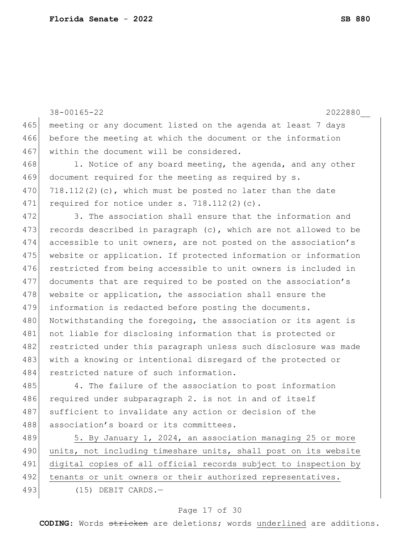|     | $38 - 00165 - 22$<br>2022880                                    |
|-----|-----------------------------------------------------------------|
| 465 | meeting or any document listed on the agenda at least 7 days    |
| 466 | before the meeting at which the document or the information     |
| 467 | within the document will be considered.                         |
| 468 | 1. Notice of any board meeting, the agenda, and any other       |
| 469 | document required for the meeting as required by s.             |
| 470 | $718.112(2)(c)$ , which must be posted no later than the date   |
| 471 | required for notice under $s. 718.112(2)(c)$ .                  |
| 472 | 3. The association shall ensure that the information and        |
| 473 | records described in paragraph (c), which are not allowed to be |
| 474 | accessible to unit owners, are not posted on the association's  |
| 475 | website or application. If protected information or information |
| 476 | restricted from being accessible to unit owners is included in  |
| 477 | documents that are required to be posted on the association's   |
| 478 | website or application, the association shall ensure the        |
| 479 | information is redacted before posting the documents.           |
| 480 | Notwithstanding the foregoing, the association or its agent is  |
| 481 | not liable for disclosing information that is protected or      |
| 482 | restricted under this paragraph unless such disclosure was made |
| 483 | with a knowing or intentional disregard of the protected or     |
| 484 | restricted nature of such information.                          |
| 485 | 4. The failure of the association to post information           |
| 486 | required under subparagraph 2. is not in and of itself          |
| 487 | sufficient to invalidate any action or decision of the          |
| 488 | association's board or its committees.                          |
| 489 | 5. By January 1, 2024, an association managing 25 or more       |
| 490 | units, not including timeshare units, shall post on its website |
| 491 | digital copies of all official records subject to inspection by |
| 492 | tenants or unit owners or their authorized representatives.     |
| 493 | $(15)$ DEBIT CARDS.-                                            |
|     |                                                                 |

# Page 17 of 30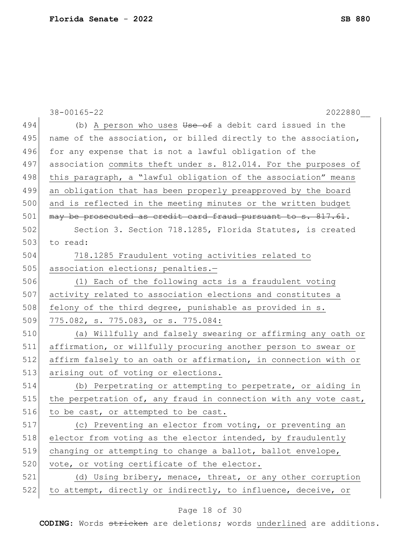|     | $38 - 00165 - 22$<br>2022880                                     |
|-----|------------------------------------------------------------------|
| 494 | (b) A person who uses Use of a debit card issued in the          |
| 495 | name of the association, or billed directly to the association,  |
| 496 | for any expense that is not a lawful obligation of the           |
| 497 | association commits theft under s. 812.014. For the purposes of  |
| 498 | this paragraph, a "lawful obligation of the association" means   |
| 499 | an obligation that has been properly preapproved by the board    |
| 500 | and is reflected in the meeting minutes or the written budget    |
| 501 | may be prosecuted as credit card fraud pursuant to s. 817.61.    |
| 502 | Section 3. Section 718.1285, Florida Statutes, is created        |
| 503 | to read:                                                         |
| 504 | 718.1285 Fraudulent voting activities related to                 |
| 505 | association elections; penalties.-                               |
| 506 | (1) Each of the following acts is a fraudulent voting            |
| 507 | activity related to association elections and constitutes a      |
| 508 | felony of the third degree, punishable as provided in s.         |
| 509 | 775.082, s. 775.083, or s. 775.084:                              |
| 510 | (a) Willfully and falsely swearing or affirming any oath or      |
| 511 | affirmation, or willfully procuring another person to swear or   |
| 512 | affirm falsely to an oath or affirmation, in connection with or  |
| 513 | arising out of voting or elections.                              |
| 514 | (b) Perpetrating or attempting to perpetrate, or aiding in       |
| 515 | the perpetration of, any fraud in connection with any vote cast, |
| 516 | to be cast, or attempted to be cast.                             |
| 517 | (c) Preventing an elector from voting, or preventing an          |
| 518 | elector from voting as the elector intended, by fraudulently     |
| 519 | changing or attempting to change a ballot, ballot envelope,      |
| 520 | vote, or voting certificate of the elector.                      |
| 521 | (d) Using bribery, menace, threat, or any other corruption       |
| 522 | to attempt, directly or indirectly, to influence, deceive, or    |

# Page 18 of 30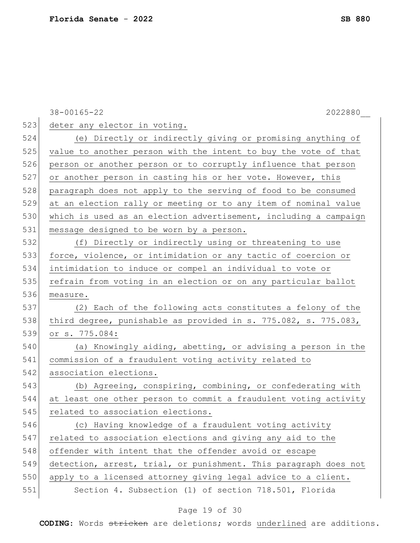|     | $38 - 00165 - 22$<br>2022880                                     |
|-----|------------------------------------------------------------------|
| 523 | deter any elector in voting.                                     |
| 524 | (e) Directly or indirectly giving or promising anything of       |
| 525 | value to another person with the intent to buy the vote of that  |
| 526 | person or another person or to corruptly influence that person   |
| 527 | or another person in casting his or her vote. However, this      |
| 528 | paragraph does not apply to the serving of food to be consumed   |
| 529 | at an election rally or meeting or to any item of nominal value  |
| 530 | which is used as an election advertisement, including a campaign |
| 531 | message designed to be worn by a person.                         |
| 532 | (f) Directly or indirectly using or threatening to use           |
| 533 | force, violence, or intimidation or any tactic of coercion or    |
| 534 | intimidation to induce or compel an individual to vote or        |
| 535 | refrain from voting in an election or on any particular ballot   |
| 536 | measure.                                                         |
| 537 | (2) Each of the following acts constitutes a felony of the       |
| 538 | third degree, punishable as provided in s. 775.082, s. 775.083,  |
| 539 | or s. 775.084:                                                   |
| 540 | (a) Knowingly aiding, abetting, or advising a person in the      |
| 541 | commission of a fraudulent voting activity related to            |
| 542 | association elections.                                           |
| 543 | (b) Agreeing, conspiring, combining, or confederating with       |
| 544 | at least one other person to commit a fraudulent voting activity |
| 545 | related to association elections.                                |
| 546 | (c) Having knowledge of a fraudulent voting activity             |
| 547 | related to association elections and giving any aid to the       |
| 548 | offender with intent that the offender avoid or escape           |
| 549 | detection, arrest, trial, or punishment. This paragraph does not |
| 550 | apply to a licensed attorney giving legal advice to a client.    |
| 551 | Section 4. Subsection (1) of section 718.501, Florida            |

# Page 19 of 30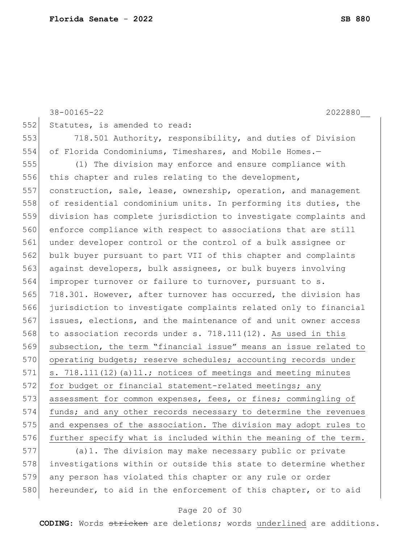```
38-00165-22 2022880__
552 Statutes, is amended to read:
553 718.501 Authority, responsibility, and duties of Division 
554 of Florida Condominiums, Timeshares, and Mobile Homes.—
555 (1) The division may enforce and ensure compliance with 
556 this chapter and rules relating to the development,
557 construction, sale, lease, ownership, operation, and management 
558 of residential condominium units. In performing its duties, the
559 division has complete jurisdiction to investigate complaints and 
560 enforce compliance with respect to associations that are still 
561 under developer control or the control of a bulk assignee or 
562 bulk buyer pursuant to part VII of this chapter and complaints 
563 against developers, bulk assignees, or bulk buyers involving 
564 improper turnover or failure to turnover, pursuant to s. 
565 718.301. However, after turnover has occurred, the division has 
566 jurisdiction to investigate complaints related only to financial 
567 issues, elections, and the maintenance of and unit owner access 
568 to association records under s. 718.111(12). As used in this
569 subsection, the term "financial issue" means an issue related to 
570 operating budgets; reserve schedules; accounting records under
571 \vert s. 718.111(12)(a)11.; notices of meetings and meeting minutes
572 for budget or financial statement-related meetings; any
573 assessment for common expenses, fees, or fines; commingling of
574 funds; and any other records necessary to determine the revenues
575 and expenses of the association. The division may adopt rules to 
576 further specify what is included within the meaning of the term.
577 (a)1. The division may make necessary public or private
```
578 investigations within or outside this state to determine whether 579 any person has violated this chapter or any rule or order 580 hereunder, to aid in the enforcement of this chapter, or to aid

## Page 20 of 30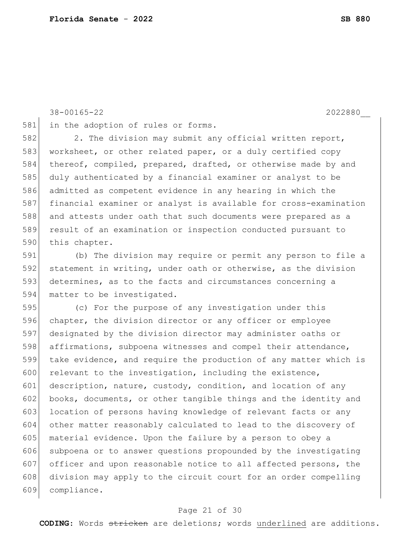38-00165-22 2022880\_\_

581 in the adoption of rules or forms.

582 2. The division may submit any official written report, 583 worksheet, or other related paper, or a duly certified copy 584 thereof, compiled, prepared, drafted, or otherwise made by and 585 duly authenticated by a financial examiner or analyst to be 586 admitted as competent evidence in any hearing in which the 587 financial examiner or analyst is available for cross-examination 588 and attests under oath that such documents were prepared as a 589 result of an examination or inspection conducted pursuant to 590 this chapter.

591 (b) The division may require or permit any person to file a 592 statement in writing, under oath or otherwise, as the division 593 determines, as to the facts and circumstances concerning a 594 matter to be investigated.

595 (c) For the purpose of any investigation under this 596 chapter, the division director or any officer or employee 597 designated by the division director may administer oaths or 598 affirmations, subpoena witnesses and compel their attendance, 599 take evidence, and require the production of any matter which is 600 relevant to the investigation, including the existence, 601 description, nature, custody, condition, and location of any 602 books, documents, or other tangible things and the identity and 603 location of persons having knowledge of relevant facts or any 604 other matter reasonably calculated to lead to the discovery of 605 | material evidence. Upon the failure by a person to obey a 606 subpoena or to answer questions propounded by the investigating 607 officer and upon reasonable notice to all affected persons, the 608 division may apply to the circuit court for an order compelling 609 compliance.

## Page 21 of 30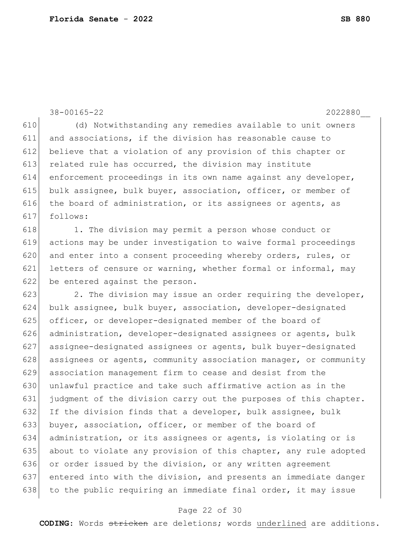38-00165-22 2022880\_\_ 610 (d) Notwithstanding any remedies available to unit owners 611 and associations, if the division has reasonable cause to 612 believe that a violation of any provision of this chapter or 613 related rule has occurred, the division may institute 614 enforcement proceedings in its own name against any developer, 615 bulk assignee, bulk buyer, association, officer, or member of 616 the board of administration, or its assignees or agents, as 617 follows: 618 1. The division may permit a person whose conduct or 619 actions may be under investigation to waive formal proceedings 620 and enter into a consent proceeding whereby orders, rules, or 621 letters of censure or warning, whether formal or informal, may 622 be entered against the person. 623 2. The division may issue an order requiring the developer, 624 bulk assignee, bulk buyer, association, developer-designated 625 officer, or developer-designated member of the board of 626 administration, developer-designated assignees or agents, bulk 627 assignee-designated assignees or agents, bulk buyer-designated 628 assignees or agents, community association manager, or community 629 association management firm to cease and desist from the 630 unlawful practice and take such affirmative action as in the 631 judgment of the division carry out the purposes of this chapter. 632 If the division finds that a developer, bulk assignee, bulk 633 buyer, association, officer, or member of the board of 634 administration, or its assignees or agents, is violating or is 635 about to violate any provision of this chapter, any rule adopted 636 or order issued by the division, or any written agreement 637 entered into with the division, and presents an immediate danger 638 to the public requiring an immediate final order, it may issue

#### Page 22 of 30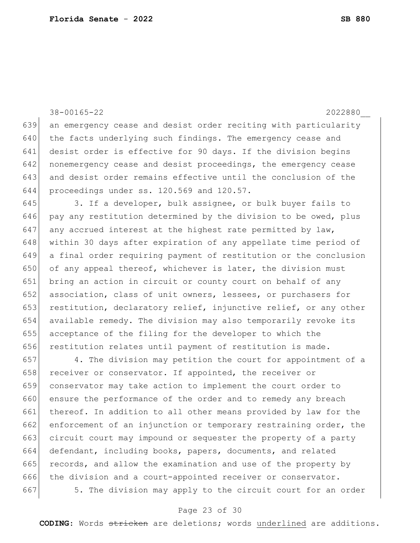641 desist order is effective for 90 days. If the division begins 642 nonemergency cease and desist proceedings, the emergency cease 643 and desist order remains effective until the conclusion of the 644 proceedings under ss. 120.569 and 120.57. 645 3. If a developer, bulk assignee, or bulk buyer fails to 646 pay any restitution determined by the division to be owed, plus 647 any accrued interest at the highest rate permitted by  $law$ , 648 within 30 days after expiration of any appellate time period of 649 a final order requiring payment of restitution or the conclusion 650 of any appeal thereof, whichever is later, the division must 651 bring an action in circuit or county court on behalf of any 652 association, class of unit owners, lessees, or purchasers for 653 restitution, declaratory relief, injunctive relief, or any other 654 available remedy. The division may also temporarily revoke its 655 acceptance of the filing for the developer to which the 656 restitution relates until payment of restitution is made. 657 4. The division may petition the court for appointment of a 658 receiver or conservator. If appointed, the receiver or 659 conservator may take action to implement the court order to 660 ensure the performance of the order and to remedy any breach 661 thereof. In addition to all other means provided by law for the 662 enforcement of an injunction or temporary restraining order, the 663 circuit court may impound or sequester the property of a party 664 defendant, including books, papers, documents, and related 665 records, and allow the examination and use of the property by 666 the division and a court-appointed receiver or conservator.

38-00165-22 2022880\_\_

639 an emergency cease and desist order reciting with particularity

640 the facts underlying such findings. The emergency cease and

667 5. The division may apply to the circuit court for an order

## Page 23 of 30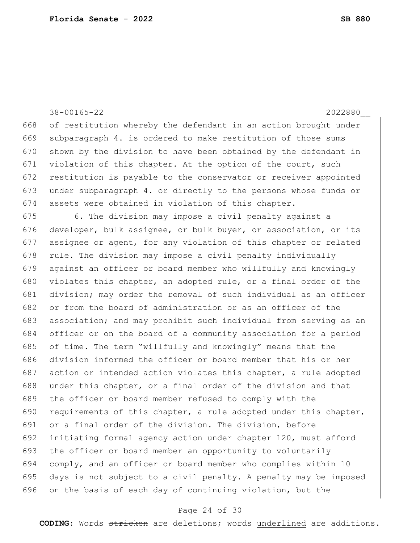38-00165-22 2022880\_\_ 668 of restitution whereby the defendant in an action brought under 669 subparagraph 4. is ordered to make restitution of those sums 670 shown by the division to have been obtained by the defendant in 671 violation of this chapter. At the option of the court, such 672 restitution is payable to the conservator or receiver appointed 673 under subparagraph 4. or directly to the persons whose funds or 674 assets were obtained in violation of this chapter. 675 6. The division may impose a civil penalty against a 676 developer, bulk assignee, or bulk buyer, or association, or its 677 assignee or agent, for any violation of this chapter or related 678 rule. The division may impose a civil penalty individually 679 against an officer or board member who willfully and knowingly 680 violates this chapter, an adopted rule, or a final order of the 681 division; may order the removal of such individual as an officer 682 or from the board of administration or as an officer of the 683 association; and may prohibit such individual from serving as an 684 officer or on the board of a community association for a period 685 of time. The term "willfully and knowingly" means that the 686 division informed the officer or board member that his or her 687 action or intended action violates this chapter, a rule adopted 688 under this chapter, or a final order of the division and that 689 the officer or board member refused to comply with the 690 requirements of this chapter, a rule adopted under this chapter, 691 or a final order of the division. The division, before 692 initiating formal agency action under chapter 120, must afford 693 the officer or board member an opportunity to voluntarily 694 comply, and an officer or board member who complies within 10 695 days is not subject to a civil penalty. A penalty may be imposed 696 on the basis of each day of continuing violation, but the

## Page 24 of 30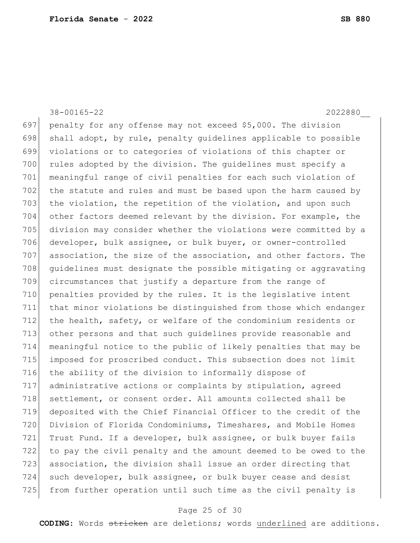697 penalty for any offense may not exceed \$5,000. The division 698 shall adopt, by rule, penalty quidelines applicable to possible 699 violations or to categories of violations of this chapter or 700 rules adopted by the division. The guidelines must specify a 701 meaningful range of civil penalties for each such violation of 702 the statute and rules and must be based upon the harm caused by 703 the violation, the repetition of the violation, and upon such 704 other factors deemed relevant by the division. For example, the 705 division may consider whether the violations were committed by a 706 developer, bulk assignee, or bulk buyer, or owner-controlled 707 association, the size of the association, and other factors. The 708 quidelines must designate the possible mitigating or aggravating 709 circumstances that justify a departure from the range of 710 penalties provided by the rules. It is the legislative intent 711 that minor violations be distinguished from those which endanger 712 the health, safety, or welfare of the condominium residents or 713 other persons and that such guidelines provide reasonable and 714 meaningful notice to the public of likely penalties that may be 715 imposed for proscribed conduct. This subsection does not limit 716 the ability of the division to informally dispose of 717 administrative actions or complaints by stipulation, agreed 718 settlement, or consent order. All amounts collected shall be 719 deposited with the Chief Financial Officer to the credit of the 720 Division of Florida Condominiums, Timeshares, and Mobile Homes 721 Trust Fund. If a developer, bulk assignee, or bulk buyer fails 722 to pay the civil penalty and the amount deemed to be owed to the 723 association, the division shall issue an order directing that

38-00165-22 2022880\_\_

724 such developer, bulk assignee, or bulk buyer cease and desist 725 from further operation until such time as the civil penalty is

# Page 25 of 30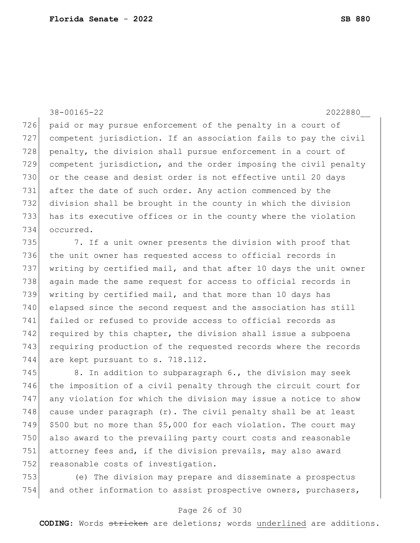38-00165-22 2022880\_\_ 726 paid or may pursue enforcement of the penalty in a court of 727 competent jurisdiction. If an association fails to pay the civil 728 penalty, the division shall pursue enforcement in a court of 729 competent jurisdiction, and the order imposing the civil penalty 730 or the cease and desist order is not effective until 20 days 731 after the date of such order. Any action commenced by the 732 division shall be brought in the county in which the division 733 has its executive offices or in the county where the violation 734 occurred.

735 7. If a unit owner presents the division with proof that 736 the unit owner has requested access to official records in 737 writing by certified mail, and that after 10 days the unit owner 738 again made the same request for access to official records in 739 writing by certified mail, and that more than 10 days has 740 elapsed since the second request and the association has still 741 failed or refused to provide access to official records as 742 required by this chapter, the division shall issue a subpoena 743 requiring production of the requested records where the records 744 are kept pursuant to s. 718.112.

745 8. In addition to subparagraph  $6.$ , the division may seek the imposition of a civil penalty through the circuit court for any violation for which the division may issue a notice to show 748 cause under paragraph  $(r)$ . The civil penalty shall be at least \$500 but no more than \$5,000 for each violation. The court may also award to the prevailing party court costs and reasonable attorney fees and, if the division prevails, may also award 752 reasonable costs of investigation.

753 (e) The division may prepare and disseminate a prospectus 754 and other information to assist prospective owners, purchasers,

## Page 26 of 30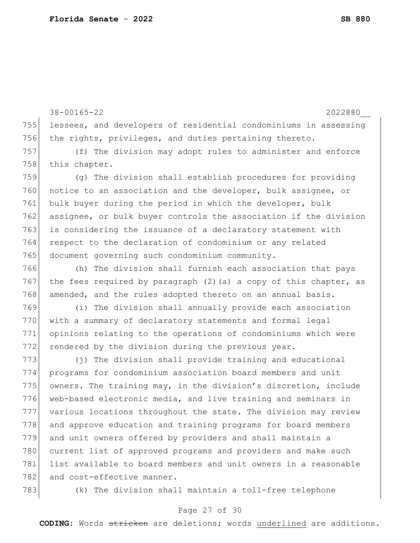38-00165-22 2022880\_\_ 755 lessees, and developers of residential condominiums in assessing 756 the rights, privileges, and duties pertaining thereto. 757 (f) The division may adopt rules to administer and enforce 758 this chapter. 759 (g) The division shall establish procedures for providing 760 notice to an association and the developer, bulk assignee, or 761 bulk buyer during the period in which the developer, bulk 762 assignee, or bulk buyer controls the association if the division 763 is considering the issuance of a declaratory statement with 764 respect to the declaration of condominium or any related 765 document governing such condominium community. 766 (h) The division shall furnish each association that pays 767 the fees required by paragraph (2) (a) a copy of this chapter, as 768 amended, and the rules adopted thereto on an annual basis. 769 (i) The division shall annually provide each association 770 with a summary of declaratory statements and formal legal 771 opinions relating to the operations of condominiums which were 772 rendered by the division during the previous year. 773 (j) The division shall provide training and educational 774 programs for condominium association board members and unit 775 owners. The training may, in the division's discretion, include 776 web-based electronic media, and live training and seminars in 777 various locations throughout the state. The division may review 778 and approve education and training programs for board members 779 and unit owners offered by providers and shall maintain a 780 current list of approved programs and providers and make such

781 list available to board members and unit owners in a reasonable 782 and cost-effective manner.

783 (k) The division shall maintain a toll-free telephone

## Page 27 of 30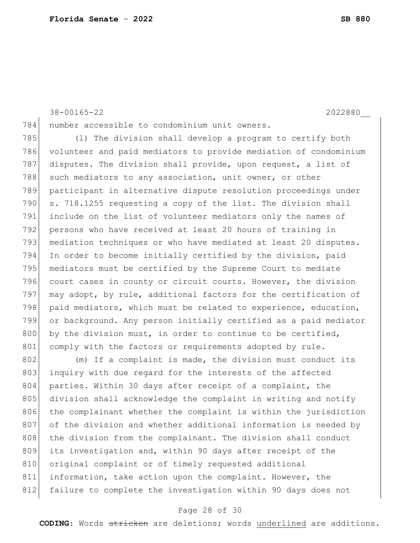38-00165-22 2022880\_\_

784 number accessible to condominium unit owners.

785 (l) The division shall develop a program to certify both 786 volunteer and paid mediators to provide mediation of condominium 787 disputes. The division shall provide, upon request, a list of 788 such mediators to any association, unit owner, or other 789 participant in alternative dispute resolution proceedings under 790 s. 718.1255 requesting a copy of the list. The division shall 791 include on the list of volunteer mediators only the names of 792 persons who have received at least 20 hours of training in 793 mediation techniques or who have mediated at least 20 disputes. 794 In order to become initially certified by the division, paid 795 mediators must be certified by the Supreme Court to mediate 796 court cases in county or circuit courts. However, the division 797 may adopt, by rule, additional factors for the certification of 798 paid mediators, which must be related to experience, education, 799 or background. Any person initially certified as a paid mediator 800 by the division must, in order to continue to be certified, 801 comply with the factors or requirements adopted by rule.

802 (m) If a complaint is made, the division must conduct its 803 inquiry with due regard for the interests of the affected 804 parties. Within 30 days after receipt of a complaint, the 805 division shall acknowledge the complaint in writing and notify 806 the complainant whether the complaint is within the jurisdiction 807 of the division and whether additional information is needed by 808 the division from the complainant. The division shall conduct 809 its investigation and, within 90 days after receipt of the 810 original complaint or of timely requested additional 811 information, take action upon the complaint. However, the 812 failure to complete the investigation within 90 days does not

## Page 28 of 30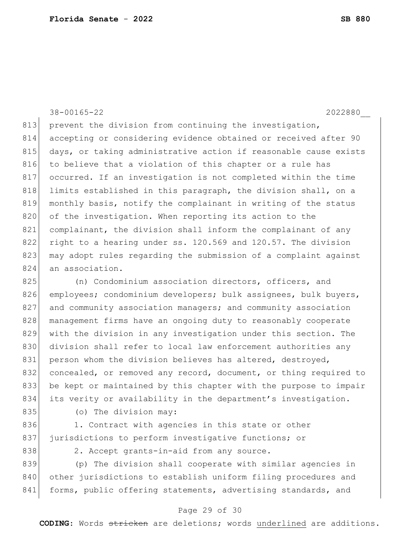38-00165-22 2022880\_\_ 813 prevent the division from continuing the investigation, 814 accepting or considering evidence obtained or received after 90 815 days, or taking administrative action if reasonable cause exists 816 to believe that a violation of this chapter or a rule has 817 occurred. If an investigation is not completed within the time 818 limits established in this paragraph, the division shall, on a 819 monthly basis, notify the complainant in writing of the status 820 of the investigation. When reporting its action to the 821 complainant, the division shall inform the complainant of any 822 right to a hearing under ss. 120.569 and 120.57. The division 823 may adopt rules regarding the submission of a complaint against 824 an association.

825 (n) Condominium association directors, officers, and 826 employees; condominium developers; bulk assignees, bulk buyers, 827 and community association managers; and community association 828 | management firms have an ongoing duty to reasonably cooperate 829 with the division in any investigation under this section. The 830 division shall refer to local law enforcement authorities any 831 person whom the division believes has altered, destroyed, 832 concealed, or removed any record, document, or thing required to 833 be kept or maintained by this chapter with the purpose to impair 834 its verity or availability in the department's investigation.

835 (o) The division may:

836 1. Contract with agencies in this state or other 837 jurisdictions to perform investigative functions; or

838 2. Accept grants-in-aid from any source.

839 (p) The division shall cooperate with similar agencies in 840 other jurisdictions to establish uniform filing procedures and 841 forms, public offering statements, advertising standards, and

## Page 29 of 30